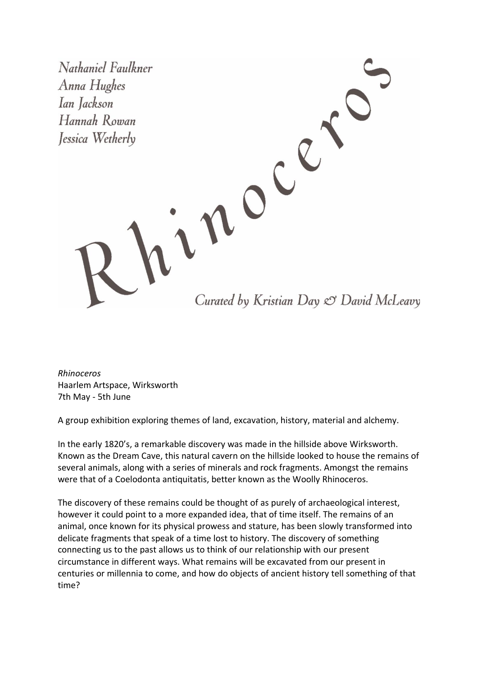Nathaniel Faulkner Anna Hughes Ian Jackson Hannah Rowan Jessica Wetherly

Curated by Kristian Day & David McLeavy

*Rhinoceros* Haarlem Artspace, Wirksworth 7th May - 5th June

A group exhibition exploring themes of land, excavation, history, material and alchemy.

In the early 1820's, a remarkable discovery was made in the hillside above Wirksworth. Known as the Dream Cave, this natural cavern on the hillside looked to house the remains of several animals, along with a series of minerals and rock fragments. Amongst the remains were that of a Coelodonta antiquitatis, better known as the Woolly Rhinoceros.

inocé

The discovery of these remains could be thought of as purely of archaeological interest, however it could point to a more expanded idea, that of time itself. The remains of an animal, once known for its physical prowess and stature, has been slowly transformed into delicate fragments that speak of a time lost to history. The discovery of something connecting us to the past allows us to think of our relationship with our present circumstance in different ways. What remains will be excavated from our present in centuries or millennia to come, and how do objects of ancient history tell something of that time?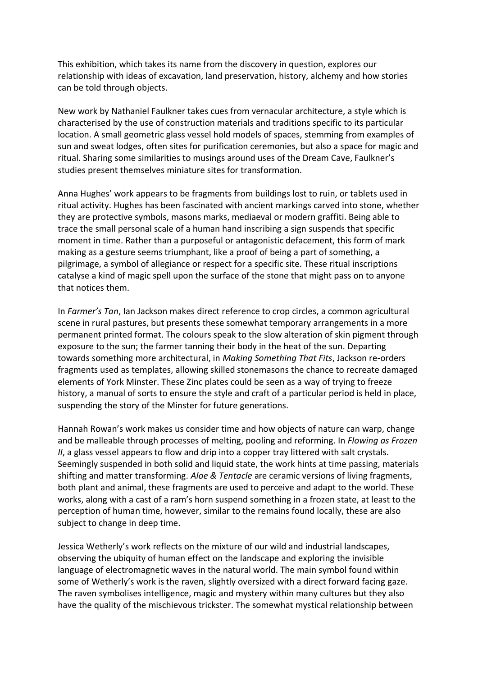This exhibition, which takes its name from the discovery in question, explores our relationship with ideas of excavation, land preservation, history, alchemy and how stories can be told through objects.

New work by Nathaniel Faulkner takes cues from vernacular architecture, a style which is characterised by the use of construction materials and traditions specific to its particular location. A small geometric glass vessel hold models of spaces, stemming from examples of sun and sweat lodges, often sites for purification ceremonies, but also a space for magic and ritual. Sharing some similarities to musings around uses of the Dream Cave, Faulkner's studies present themselves miniature sites for transformation.

Anna Hughes' work appears to be fragments from buildings lost to ruin, or tablets used in ritual activity. Hughes has been fascinated with ancient markings carved into stone, whether they are protective symbols, masons marks, mediaeval or modern graffiti. Being able to trace the small personal scale of a human hand inscribing a sign suspends that specific moment in time. Rather than a purposeful or antagonistic defacement, this form of mark making as a gesture seems triumphant, like a proof of being a part of something, a pilgrimage, a symbol of allegiance or respect for a specific site. These ritual inscriptions catalyse a kind of magic spell upon the surface of the stone that might pass on to anyone that notices them.

In *Farmer's Tan*, Ian Jackson makes direct reference to crop circles, a common agricultural scene in rural pastures, but presents these somewhat temporary arrangements in a more permanent printed format. The colours speak to the slow alteration of skin pigment through exposure to the sun; the farmer tanning their body in the heat of the sun. Departing towards something more architectural, in *Making Something That Fits*, Jackson re-orders fragments used as templates, allowing skilled stonemasons the chance to recreate damaged elements of York Minster. These Zinc plates could be seen as a way of trying to freeze history, a manual of sorts to ensure the style and craft of a particular period is held in place, suspending the story of the Minster for future generations.

Hannah Rowan's work makes us consider time and how objects of nature can warp, change and be malleable through processes of melting, pooling and reforming. In *Flowing as Frozen II*, a glass vessel appears to flow and drip into a copper tray littered with salt crystals. Seemingly suspended in both solid and liquid state, the work hints at time passing, materials shifting and matter transforming. *Aloe & Tentacle* are ceramic versions of living fragments, both plant and animal, these fragments are used to perceive and adapt to the world. These works, along with a cast of a ram's horn suspend something in a frozen state, at least to the perception of human time, however, similar to the remains found locally, these are also subject to change in deep time.

Jessica Wetherly's work reflects on the mixture of our wild and industrial landscapes, observing the ubiquity of human effect on the landscape and exploring the invisible language of electromagnetic waves in the natural world. The main symbol found within some of Wetherly's work is the raven, slightly oversized with a direct forward facing gaze. The raven symbolises intelligence, magic and mystery within many cultures but they also have the quality of the mischievous trickster. The somewhat mystical relationship between